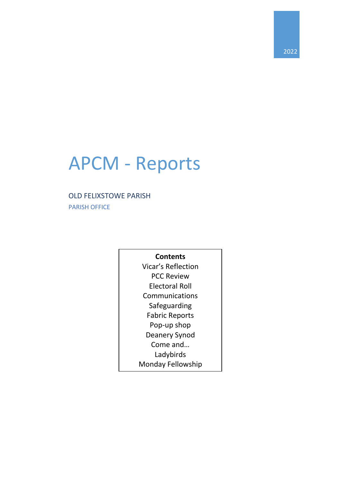# APCM - Reports

## OLD FELIXSTOWE PARISH

PARISH OFFICE

## **Contents**

Vicar's Reflection PCC Review Electoral Roll Communications Safeguarding Fabric Reports Pop-up shop Deanery Synod Come and… Ladybirds Monday Fellowship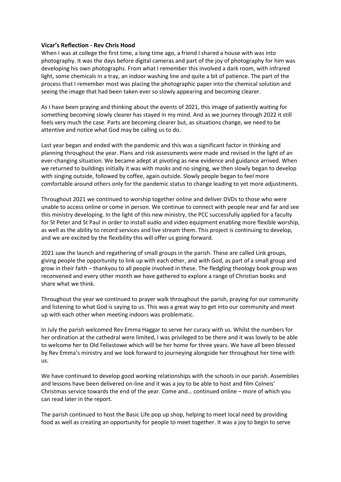### **Vicar's Reflection - Rev Chris Hood**

When I was at college the first time, a long time ago, a friend I shared a house with was into photography. It was the days before digital cameras and part of the joy of photography for him was developing his own photographs. From what I remember this involved a dark room, with infrared light, some chemicals in a tray, an indoor washing line and quite a bit of patience. The part of the process that I remember most was placing the photographic paper into the chemical solution and seeing the image that had been taken ever so slowly appearing and becoming clearer.

As I have been praying and thinking about the events of 2021, this image of patiently waiting for something becoming slowly clearer has stayed in my mind. And as we journey through 2022 it still feels very much the case. Parts are becoming clearer but, as situations change, we need to be attentive and notice what God may be calling us to do.

Last year began and ended with the pandemic and this was a significant factor in thinking and planning throughout the year. Plans and risk assessments were made and revised in the light of an ever-changing situation. We became adept at pivoting as new evidence and guidance arrived. When we returned to buildings initially it was with masks and no singing, we then slowly began to develop with singing outside, followed by coffee, again outside. Slowly people began to feel more comfortable around others only for the pandemic status to change leading to yet more adjustments.

Throughout 2021 we continued to worship together online and deliver DVDs to those who were unable to access online or come in person. We continue to connect with people near and far and see this ministry developing. In the light of this new ministry, the PCC successfully applied for a faculty for St Peter and St Paul in order to install audio and video equipment enabling more flexible worship, as well as the ability to record services and live stream them. This project is continuing to develop, and we are excited by the flexibility this will offer us going forward.

2021 saw the launch and regathering of small groups in the parish. These are called Link groups, giving people the opportunity to link up with each other, and with God, as part of a small group and grow in their faith – thankyou to all people involved in these. The fledgling theology book group was reconvened and every other month we have gathered to explore a range of Christian books and share what we think.

Throughout the year we continued to prayer walk throughout the parish, praying for our community and listening to what God is saying to us. This was a great way to get into our community and meet up with each other when meeting indoors was problematic.

In July the parish welcomed Rev Emma Haggar to serve her curacy with us. Whilst the numbers for her ordination at the cathedral were limited, I was privileged to be there and it was lovely to be able to welcome her to Old Felixstowe which will be her home for three years. We have all been blessed by Rev Emma's ministry and we look forward to journeying alongside her throughout her time with us.

We have continued to develop good working relationships with the schools in our parish. Assemblies and lessons have been delivered on-line and it was a joy to be able to host and film Colneis' Christmas service towards the end of the year. Come and… continued online – more of which you can read later in the report.

The parish continued to host the Basic Life pop up shop, helping to meet local need by providing food as well as creating an opportunity for people to meet together. It was a joy to begin to serve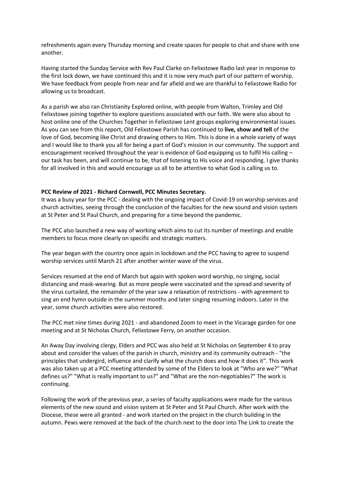refreshments again every Thursday morning and create spaces for people to chat and share with one another.

Having started the Sunday Service with Rev Paul Clarke on Felixstowe Radio last year in response to the first lock down, we have continued this and it is now very much part of our pattern of worship. We have feedback from people from near and far afield and we are thankful to Felixstowe Radio for allowing us to broadcast.

As a parish we also ran Christianity Explored online, with people from Walton, Trimley and Old Felixstowe joining together to explore questions associated with our faith. We were also about to host online one of the Churches Together in Felixstowe Lent groups exploring environmental issues. As you can see from this report, Old Felixstowe Parish has continued to **live, show and tell** of the love of God, becoming like Christ and drawing others to Him. This is done in a whole variety of ways and I would like to thank you all for being a part of God's mission in our community. The support and encouragement received throughout the year is evidence of God equipping us to fulfil His calling – our task has been, and will continue to be, that of listening to His voice and responding. I give thanks for all involved in this and would encourage us all to be attentive to what God is calling us to.

#### **PCC Review of 2021 - Richard Cornwell, PCC Minutes Secretary.**

It was a busy year for the PCC - dealing with the ongoing impact of Covid-19 on worship services and church activities, seeing through the conclusion of the faculties for the new sound and vision system at St Peter and St Paul Church, and preparing for a time beyond the pandemic.

The PCC also launched a new way of working which aims to cut its number of meetings and enable members to focus more clearly on specific and strategic matters.

The year began with the country once again in lockdown and the PCC having to agree to suspend worship services until March 21 after another winter wave of the virus.

Services resumed at the end of March but again with spoken word worship, no singing, social distancing and mask-wearing. But as more people were vaccinated and the spread and severity of the virus curtailed, the remainder of the year saw a relaxation of restrictions - with agreement to sing an end hymn outside in the summer months and later singing resuming indoors. Later in the year, some church activities were also restored.

The PCC met nine times during 2021 - and abandoned Zoom to meet in the Vicarage garden for one meeting and at St Nicholas Church, Felixstowe Ferry, on another occasion.

An Away Day involving clergy, Elders and PCC was also held at St Nicholas on September 4 to pray about and consider the values of the parish in church, ministry and its community outreach - "the principles that undergird, influence and clarify what the church does and how it does it". This work was also taken up at a PCC meeting attended by some of the Elders to look at "Who are we?" "What defines us?" "What is really important to us?" and "What are the non-negotiables?" The work is continuing.

Following the work of the previous year, a series of faculty applications were made for the various elements of the new sound and vision system at St Peter and St Paul Church. After work with the Diocese, these were all granted - and work started on the project in the church building in the autumn. Pews were removed at the back of the church next to the door into The Link to create the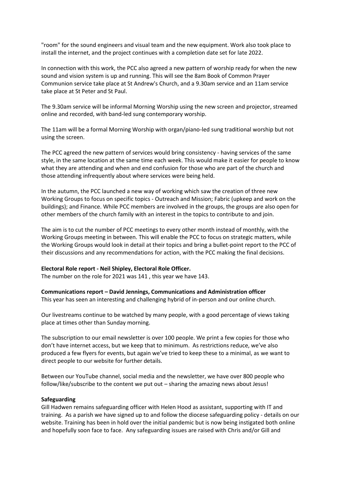"room" for the sound engineers and visual team and the new equipment. Work also took place to install the internet, and the project continues with a completion date set for late 2022.

In connection with this work, the PCC also agreed a new pattern of worship ready for when the new sound and vision system is up and running. This will see the 8am Book of Common Prayer Communion service take place at St Andrew's Church, and a 9.30am service and an 11am service take place at St Peter and St Paul.

The 9.30am service will be informal Morning Worship using the new screen and projector, streamed online and recorded, with band-led sung contemporary worship.

The 11am will be a formal Morning Worship with organ/piano-led sung traditional worship but not using the screen.

The PCC agreed the new pattern of services would bring consistency - having services of the same style, in the same location at the same time each week. This would make it easier for people to know what they are attending and when and end confusion for those who are part of the church and those attending infrequently about where services were being held.

In the autumn, the PCC launched a new way of working which saw the creation of three new Working Groups to focus on specific topics - Outreach and Mission; Fabric (upkeep and work on the buildings); and Finance. While PCC members are involved in the groups, the groups are also open for other members of the church family with an interest in the topics to contribute to and join.

The aim is to cut the number of PCC meetings to every other month instead of monthly, with the Working Groups meeting in between. This will enable the PCC to focus on strategic matters, while the Working Groups would look in detail at their topics and bring a bullet-point report to the PCC of their discussions and any recommendations for action, with the PCC making the final decisions.

#### **Electoral Role report - Neil Shipley, Electoral Role Officer.**

The number on the role for 2021 was 141 , this year we have 143.

**Communications report – David Jennings, Communications and Administration officer**

This year has seen an interesting and challenging hybrid of in-person and our online church.

Our livestreams continue to be watched by many people, with a good percentage of views taking place at times other than Sunday morning.

The subscription to our email newsletter is over 100 people. We print a few copies for those who don't have internet access, but we keep that to minimum. As restrictions reduce, we've also produced a few flyers for events, but again we've tried to keep these to a minimal, as we want to direct people to our website for further details.

Between our YouTube channel, social media and the newsletter, we have over 800 people who follow/like/subscribe to the content we put out – sharing the amazing news about Jesus!

#### **Safeguarding**

Gill Hadwen remains safeguarding officer with Helen Hood as assistant, supporting with IT and training. As a parish we have signed up to and follow the diocese safeguarding policy - details on our website. Training has been in hold over the initial pandemic but is now being instigated both online and hopefully soon face to face. Any safeguarding issues are raised with Chris and/or Gill and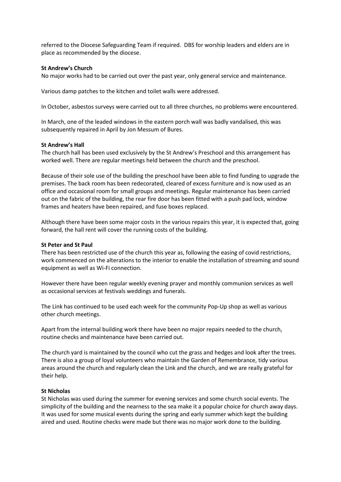referred to the Diocese Safeguarding Team if required. DBS for worship leaders and elders are in place as recommended by the diocese.

#### **St Andrew's Church**

No major works had to be carried out over the past year, only general service and maintenance.

Various damp patches to the kitchen and toilet walls were addressed.

In October, asbestos surveys were carried out to all three churches, no problems were encountered.

In March, one of the leaded windows in the eastern porch wall was badly vandalised, this was subsequently repaired in April by Jon Messum of Bures.

#### **St Andrew's Hall**

The church hall has been used exclusively by the St Andrew's Preschool and this arrangement has worked well. There are regular meetings held between the church and the preschool.

Because of their sole use of the building the preschool have been able to find funding to upgrade the premises. The back room has been redecorated, cleared of excess furniture and is now used as an office and occasional room for small groups and meetings. Regular maintenance has been carried out on the fabric of the building, the rear fire door has been fitted with a push pad lock, window frames and heaters have been repaired, and fuse boxes replaced.

Although there have been some major costs in the various repairs this year, it is expected that, going forward, the hall rent will cover the running costs of the building.

#### **St Peter and St Paul**

There has been restricted use of the church this year as, following the easing of covid restrictions, work commenced on the alterations to the interior to enable the installation of streaming and sound equipment as well as Wi-Fi connection.

However there have been regular weekly evening prayer and monthly communion services as well as occasional services at festivals weddings and funerals.

The Link has continued to be used each week for the community Pop-Up shop as well as various other church meetings.

Apart from the internal building work there have been no major repairs needed to the church, routine checks and maintenance have been carried out.

The church yard is maintained by the council who cut the grass and hedges and look after the trees. There is also a group of loyal volunteers who maintain the Garden of Remembrance, tidy various areas around the church and regularly clean the Link and the church, and we are really grateful for their help.

#### **St Nicholas**

St Nicholas was used during the summer for evening services and some church social events. The simplicity of the building and the nearness to the sea make it a popular choice for church away days. It was used for some musical events during the spring and early summer which kept the building aired and used. Routine checks were made but there was no major work done to the building.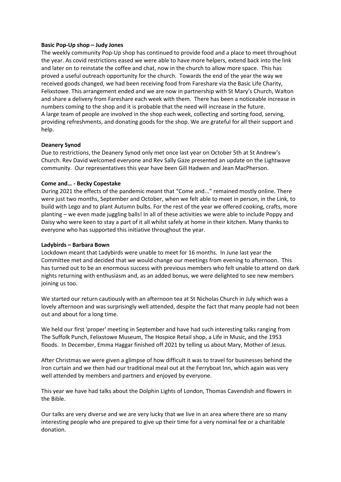#### **Basic Pop-Up shop – Judy Jones**

The weekly community Pop-Up shop has continued to provide food and a place to meet throughout the year. As covid restrictions eased we were able to have more helpers, extend back into the link and later on to reinstate the coffee and chat, now in the church to allow more space. This has proved a useful outreach opportunity for the church. Towards the end of the year the way we received goods changed, we had been receiving food from Fareshare via the Basic Life Charity, Felixstowe. This arrangement ended and we are now in partnership with St Mary's Church, Walton and share a delivery from Fareshare each week with them. There has been a noticeable increase in numbers coming to the shop and it is probable that the need will increase in the future. A large team of people are involved in the shop each week, collecting and sorting food, serving, providing refreshments, and donating goods for the shop. We are grateful for all their support and help.

#### **Deanery Synod**

Due to restrictions, the Deanery Synod only met once last year on October 5th at St Andrew's Church. Rev David welcomed everyone and Rev Sally Gaze presented an update on the Lightwave community. Our representatives this year have been Gill Hadwen and Jean MacPherson.

#### **Come and… - Becky Copestake**

During 2021 the effects of the pandemic meant that "Come and..." remained mostly online. There were just two months, September and October, when we felt able to meet in person, in the Link, to build with Lego and to plant Autumn bulbs. For the rest of the year we offered cooking, crafts, more planting – we even made juggling balls! In all of these activities we were able to include Poppy and Daisy who were keen to stay a part of it all whilst safely at home in their kitchen. Many thanks to everyone who has supported this initiative throughout the year.

#### **Ladybirds – Barbara Bown**

Lockdown meant that Ladybirds were unable to meet for 16 months. In June last year the Committee met and decided that we would change our meetings from evening to afternoon. This has turned out to be an enormous success with previous members who felt unable to attend on dark nights returning with enthusiasm and, as an added bonus, we were delighted to see new members joining us too.

We started our return cautiously with an afternoon tea at St Nicholas Church in July which was a lovely afternoon and was surprisingly well attended, despite the fact that many people had not been out and about for a long time.

We held our first 'proper' meeting in September and have had such interesting talks ranging from The Suffolk Punch, Felixstowe Museum, The Hospice Retail shop, a Life in Music, and the 1953 floods. In December, Emma Haggar finished off 2021 by telling us about Mary, Mother of Jesus.

After Christmas we were given a glimpse of how difficult it was to travel for businesses behind the Iron curtain and we then had our traditional meal out at the Ferryboat Inn, which again was very well attended by members and partners and enjoyed by everyone.

This year we have had talks about the Dolphin Lights of London, Thomas Cavendish and flowers in the Bible.

Our talks are very diverse and we are very lucky that we live in an area where there are so many interesting people who are prepared to give up their time for a very nominal fee or a charitable donation.